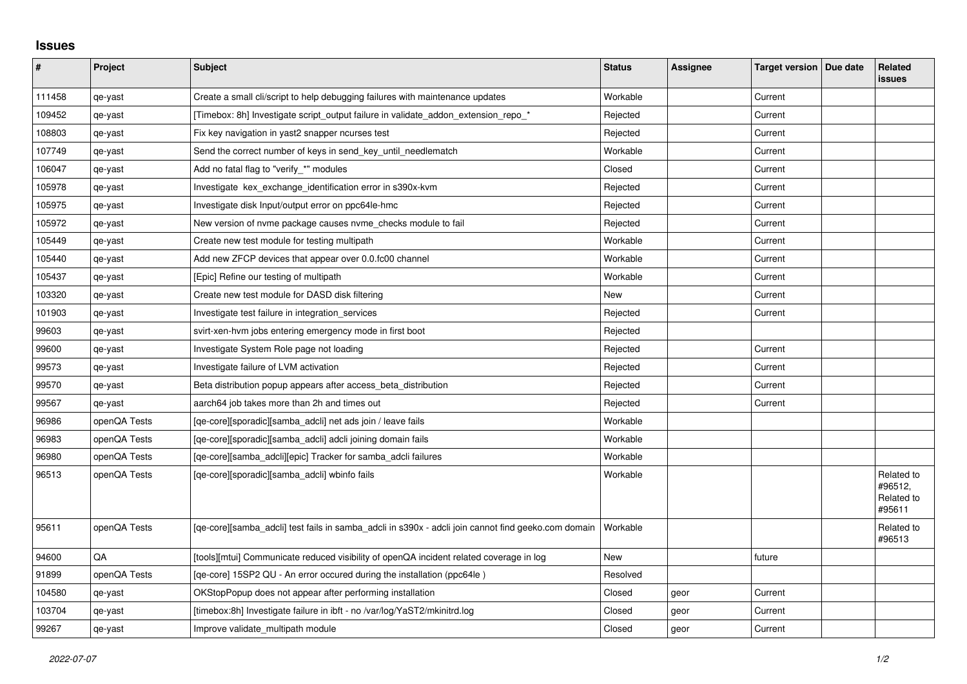## **Issues**

| #      | Project      | Subject                                                                                             | <b>Status</b> | Assignee | Target version   Due date | Related<br><b>issues</b>                      |
|--------|--------------|-----------------------------------------------------------------------------------------------------|---------------|----------|---------------------------|-----------------------------------------------|
| 111458 | qe-yast      | Create a small cli/script to help debugging failures with maintenance updates                       | Workable      |          | Current                   |                                               |
| 109452 | qe-yast      | [Timebox: 8h] Investigate script_output failure in validate_addon_extension_repo_*                  | Rejected      |          | Current                   |                                               |
| 108803 | qe-yast      | Fix key navigation in yast2 snapper ncurses test                                                    | Rejected      |          | Current                   |                                               |
| 107749 | qe-yast      | Send the correct number of keys in send key until needlematch                                       | Workable      |          | Current                   |                                               |
| 106047 | qe-yast      | Add no fatal flag to "verify_*" modules                                                             | Closed        |          | Current                   |                                               |
| 105978 | qe-yast      | Investigate kex_exchange_identification error in s390x-kvm                                          | Rejected      |          | Current                   |                                               |
| 105975 | qe-yast      | Investigate disk Input/output error on ppc64le-hmc                                                  | Rejected      |          | Current                   |                                               |
| 105972 | qe-yast      | New version of nyme package causes nyme checks module to fail                                       | Rejected      |          | Current                   |                                               |
| 105449 | qe-yast      | Create new test module for testing multipath                                                        | Workable      |          | Current                   |                                               |
| 105440 | qe-yast      | Add new ZFCP devices that appear over 0.0.fc00 channel                                              | Workable      |          | Current                   |                                               |
| 105437 | qe-yast      | [Epic] Refine our testing of multipath                                                              | Workable      |          | Current                   |                                               |
| 103320 | qe-yast      | Create new test module for DASD disk filtering                                                      | New           |          | Current                   |                                               |
| 101903 | qe-yast      | Investigate test failure in integration_services                                                    | Rejected      |          | Current                   |                                               |
| 99603  | qe-yast      | svirt-xen-hvm jobs entering emergency mode in first boot                                            | Rejected      |          |                           |                                               |
| 99600  | qe-yast      | Investigate System Role page not loading                                                            | Rejected      |          | Current                   |                                               |
| 99573  | qe-yast      | Investigate failure of LVM activation                                                               | Rejected      |          | Current                   |                                               |
| 99570  | qe-yast      | Beta distribution popup appears after access_beta_distribution                                      | Rejected      |          | Current                   |                                               |
| 99567  | qe-yast      | aarch64 job takes more than 2h and times out                                                        | Rejected      |          | Current                   |                                               |
| 96986  | openQA Tests | [qe-core][sporadic][samba_adcli] net ads join / leave fails                                         | Workable      |          |                           |                                               |
| 96983  | openQA Tests | [qe-core][sporadic][samba adcli] adcli joining domain fails                                         | Workable      |          |                           |                                               |
| 96980  | openQA Tests | [qe-core][samba_adcli][epic] Tracker for samba_adcli failures                                       | Workable      |          |                           |                                               |
| 96513  | openQA Tests | [qe-core][sporadic][samba_adcli] wbinfo fails                                                       | Workable      |          |                           | Related to<br>#96512,<br>Related to<br>#95611 |
| 95611  | openQA Tests | [qe-core][samba_adcli] test fails in samba_adcli in s390x - adcli join cannot find geeko.com domain | Workable      |          |                           | Related to<br>#96513                          |
| 94600  | QA           | [tools][mtui] Communicate reduced visibility of openQA incident related coverage in log             | <b>New</b>    |          | future                    |                                               |
| 91899  | openQA Tests | [qe-core] 15SP2 QU - An error occured during the installation (ppc64le)                             | Resolved      |          |                           |                                               |
| 104580 | qe-yast      | OKStopPopup does not appear after performing installation                                           | Closed        | geor     | Current                   |                                               |
| 103704 | qe-yast      | [timebox:8h] Investigate failure in ibft - no /var/log/YaST2/mkinitrd.log                           | Closed        | geor     | Current                   |                                               |
| 99267  | qe-yast      | Improve validate_multipath module                                                                   | Closed        | geor     | Current                   |                                               |